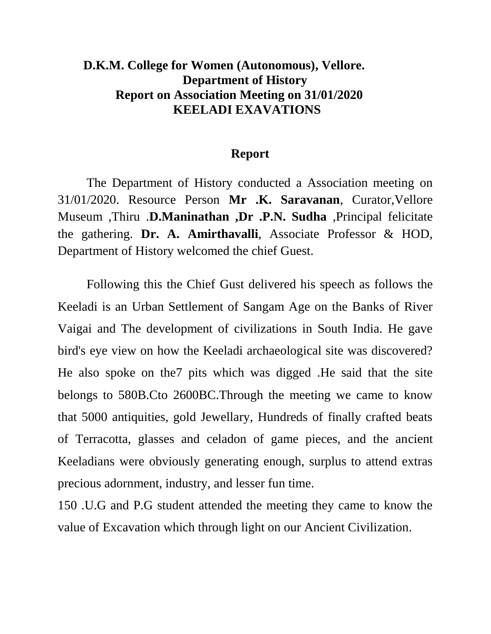## **D.K.M. College for Women (Autonomous), Vellore. Department of History Report on Association Meeting on 31/01/2020 KEELADI EXAVATIONS**

## **Report**

The Department of History conducted a Association meeting on 31/01/2020. Resource Person **Mr .K. Saravanan**, Curator,Vellore Museum ,Thiru .**D.Maninathan ,Dr .P.N. Sudha** ,Principal felicitate the gathering. **Dr. A. Amirthavalli**, Associate Professor & HOD, Department of History welcomed the chief Guest.

Following this the Chief Gust delivered his speech as follows the Keeladi is an Urban Settlement of Sangam Age on the Banks of River Vaigai and The development of civilizations in South India. He gave bird's eye view on how the Keeladi archaeological site was discovered? He also spoke on the7 pits which was digged .He said that the site belongs to 580B.Cto 2600BC.Through the meeting we came to know that 5000 antiquities, gold Jewellary, Hundreds of finally crafted beats of Terracotta, glasses and celadon of game pieces, and the ancient Keeladians were obviously generating enough, surplus to attend extras precious adornment, industry, and lesser fun time.

150 .U.G and P.G student attended the meeting they came to know the value of Excavation which through light on our Ancient Civilization.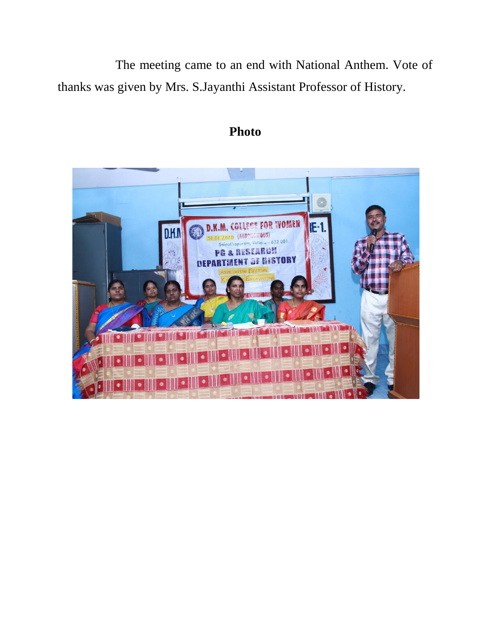The meeting came to an end with National Anthem. Vote of thanks was given by Mrs. S.Jayanthi Assistant Professor of History.



## **Photo**